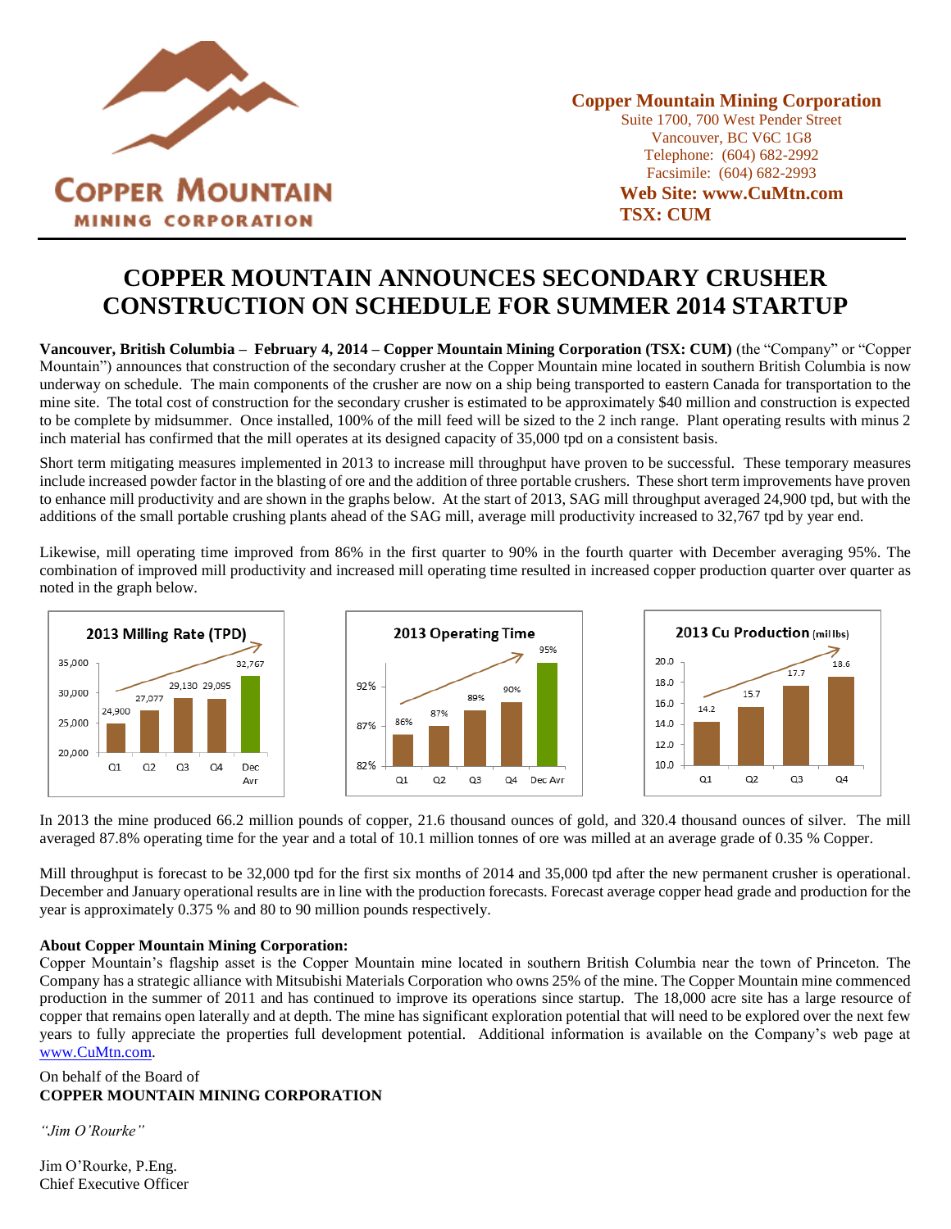

**Copper Mountain Mining Corporation** Suite 1700, 700 West Pender Street Vancouver, BC V6C 1G8 Telephone: (604) 682-2992 Facsimile: (604) 682-2993 **Web Site: www.CuMtn.com**

**TSX: CUM**

# **COPPER MOUNTAIN ANNOUNCES SECONDARY CRUSHER CONSTRUCTION ON SCHEDULE FOR SUMMER 2014 STARTUP**

**Vancouver, British Columbia – February 4, 2014 – Copper Mountain Mining Corporation (TSX: CUM)** (the "Company" or "Copper Mountain") announces that construction of the secondary crusher at the Copper Mountain mine located in southern British Columbia is now underway on schedule. The main components of the crusher are now on a ship being transported to eastern Canada for transportation to the mine site. The total cost of construction for the secondary crusher is estimated to be approximately \$40 million and construction is expected to be complete by midsummer. Once installed, 100% of the mill feed will be sized to the 2 inch range. Plant operating results with minus 2 inch material has confirmed that the mill operates at its designed capacity of 35,000 tpd on a consistent basis.

Short term mitigating measures implemented in 2013 to increase mill throughput have proven to be successful. These temporary measures include increased powder factor in the blasting of ore and the addition of three portable crushers. These short term improvements have proven to enhance mill productivity and are shown in the graphs below. At the start of 2013, SAG mill throughput averaged 24,900 tpd, but with the additions of the small portable crushing plants ahead of the SAG mill, average mill productivity increased to 32,767 tpd by year end.

Likewise, mill operating time improved from 86% in the first quarter to 90% in the fourth quarter with December averaging 95%. The combination of improved mill productivity and increased mill operating time resulted in increased copper production quarter over quarter as noted in the graph below.



In 2013 the mine produced 66.2 million pounds of copper, 21.6 thousand ounces of gold, and 320.4 thousand ounces of silver. The mill averaged 87.8% operating time for the year and a total of 10.1 million tonnes of ore was milled at an average grade of 0.35 % Copper.

Mill throughput is forecast to be 32,000 tpd for the first six months of 2014 and 35,000 tpd after the new permanent crusher is operational. December and January operational results are in line with the production forecasts. Forecast average copper head grade and production for the year is approximately 0.375 % and 80 to 90 million pounds respectively.

## **About Copper Mountain Mining Corporation:**

Copper Mountain's flagship asset is the Copper Mountain mine located in southern British Columbia near the town of Princeton. The Company has a strategic alliance with Mitsubishi Materials Corporation who owns 25% of the mine. The Copper Mountain mine commenced production in the summer of 2011 and has continued to improve its operations since startup. The 18,000 acre site has a large resource of copper that remains open laterally and at depth. The mine has significant exploration potential that will need to be explored over the next few years to fully appreciate the properties full development potential. Additional information is available on the Company's web page at [www.CuMtn.com.](file:///C:/Users/John%20Tapics/AppData/Local/Microsoft/Windows/Temporary%20Internet%20Files/Content.Outlook/3RLHFUQH/www.CuMtn.com)

## On behalf of the Board of **COPPER MOUNTAIN MINING CORPORATION**

*"Jim O'Rourke"*

Jim O'Rourke, P.Eng. Chief Executive Officer